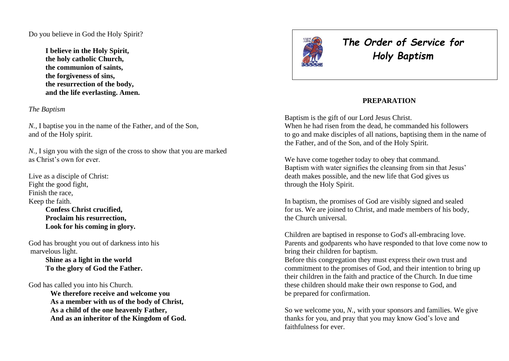Do you believe in God the Holy Spirit?

**I believe in the Holy Spirit, the holy catholic Church, the communion of saints, the forgiveness of sins, the resurrection of the body, and the life everlasting. Amen.**

*The Baptism* 

*N.,* I baptise you in the name of the Father, and of the Son, and of the Holy spirit.

*N.,* I sign you with the sign of the cross to show that you are marked as Christ's own for ever.

Live as a disciple of Christ: Fight the good fight, Finish the race, Keep the faith. **Confess Christ crucified, Proclaim his resurrection, Look for his coming in glory.**

God has brought you out of darkness into his marvelous light.

> **Shine as a light in the world To the glory of God the Father.**

God has called you into his Church.

**We therefore receive and welcome you As a member with us of the body of Christ, As a child of the one heavenly Father, And as an inheritor of the Kingdom of God.**



*The Order of Service for Holy Baptism*

#### **PREPARATION**

Baptism is the gift of our Lord Jesus Christ. When he had risen from the dead, he commanded his followers to go and make disciples of all nations, baptising them in the name of the Father, and of the Son, and of the Holy Spirit.

We have come together today to obey that command. Baptism with water signifies the cleansing from sin that Jesus' death makes possible, and the new life that God gives us through the Holy Spirit.

In baptism, the promises of God are visibly signed and sealed for us. We are joined to Christ, and made members of his body, the Church universal.

Children are baptised in response to God's all-embracing love. Parents and godparents who have responded to that love come now to bring their children for baptism.

Before this congregation they must express their own trust and commitment to the promises of God, and their intention to bring up their children in the faith and practice of the Church. In due time these children should make their own response to God, and be prepared for confirmation.

So we welcome you, *N.*, with your sponsors and families. We give thanks for you, and pray that you may know God's love and faithfulness for ever.